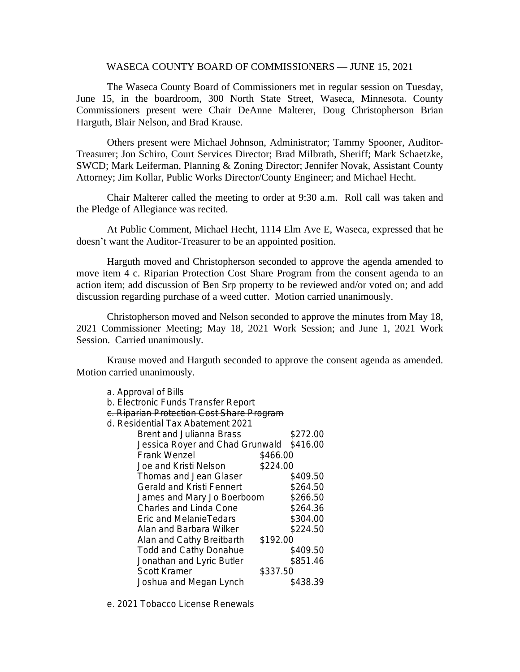## WASECA COUNTY BOARD OF COMMISSIONERS — JUNE 15, 2021

The Waseca County Board of Commissioners met in regular session on Tuesday, June 15, in the boardroom, 300 North State Street, Waseca, Minnesota. County Commissioners present were Chair DeAnne Malterer, Doug Christopherson Brian Harguth, Blair Nelson, and Brad Krause.

Others present were Michael Johnson, Administrator; Tammy Spooner, Auditor-Treasurer; Jon Schiro, Court Services Director; Brad Milbrath, Sheriff; Mark Schaetzke, SWCD; Mark Leiferman, Planning & Zoning Director; Jennifer Novak, Assistant County Attorney; Jim Kollar, Public Works Director/County Engineer; and Michael Hecht.

Chair Malterer called the meeting to order at 9:30 a.m. Roll call was taken and the Pledge of Allegiance was recited.

At Public Comment, Michael Hecht, 1114 Elm Ave E, Waseca, expressed that he doesn't want the Auditor-Treasurer to be an appointed position.

Harguth moved and Christopherson seconded to approve the agenda amended to move item 4 c. Riparian Protection Cost Share Program from the consent agenda to an action item; add discussion of Ben Srp property to be reviewed and/or voted on; and add discussion regarding purchase of a weed cutter. Motion carried unanimously.

Christopherson moved and Nelson seconded to approve the minutes from May 18, 2021 Commissioner Meeting; May 18, 2021 Work Session; and June 1, 2021 Work Session. Carried unanimously.

Krause moved and Harguth seconded to approve the consent agenda as amended. Motion carried unanimously.

| c. Riparian Protection Cost Share Program |          |          |  |  |
|-------------------------------------------|----------|----------|--|--|
| d. Residential Tax Abatement 2021         |          |          |  |  |
| Brent and Julianna Brass                  |          | \$272.00 |  |  |
| Jessica Royer and Chad Grunwald           |          | \$416.00 |  |  |
| <b>Frank Wenzel</b>                       | \$466.00 |          |  |  |
| Joe and Kristi Nelson                     | \$224.00 |          |  |  |
| Thomas and Jean Glaser                    |          | \$409.50 |  |  |
| Gerald and Kristi Fennert                 |          | \$264.50 |  |  |
| James and Mary Jo Boerboom                |          | \$266.50 |  |  |
| <b>Charles and Linda Cone</b>             |          | \$264.36 |  |  |
| Eric and MelanieTedars                    |          | \$304.00 |  |  |
| Alan and Barbara Wilker                   |          | \$224.50 |  |  |
| Alan and Cathy Breitbarth                 | \$192.00 |          |  |  |
| <b>Todd and Cathy Donahue</b>             |          | \$409.50 |  |  |
| Jonathan and Lyric Butler                 |          | \$851.46 |  |  |
| <b>Scott Kramer</b>                       | \$337.50 |          |  |  |
| Joshua and Megan Lynch                    |          | \$438.39 |  |  |
|                                           |          |          |  |  |

e. 2021 Tobacco License Renewals

a. Approval of Bills

b. Electronic Funds Transfer Report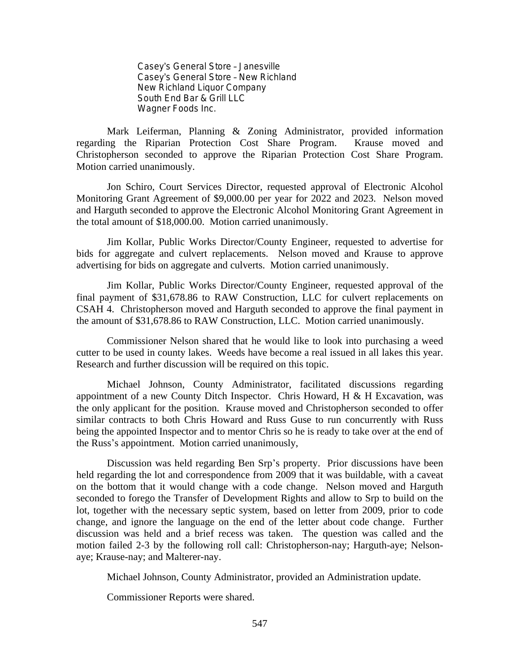Casey's General Store – Janesville Casey's General Store – New Richland New Richland Liquor Company South End Bar & Grill LLC Wagner Foods Inc.

Mark Leiferman, Planning & Zoning Administrator, provided information regarding the Riparian Protection Cost Share Program. Krause moved and Christopherson seconded to approve the Riparian Protection Cost Share Program. Motion carried unanimously.

Jon Schiro, Court Services Director, requested approval of Electronic Alcohol Monitoring Grant Agreement of \$9,000.00 per year for 2022 and 2023. Nelson moved and Harguth seconded to approve the Electronic Alcohol Monitoring Grant Agreement in the total amount of \$18,000.00. Motion carried unanimously.

Jim Kollar, Public Works Director/County Engineer, requested to advertise for bids for aggregate and culvert replacements. Nelson moved and Krause to approve advertising for bids on aggregate and culverts. Motion carried unanimously.

Jim Kollar, Public Works Director/County Engineer, requested approval of the final payment of \$31,678.86 to RAW Construction, LLC for culvert replacements on CSAH 4. Christopherson moved and Harguth seconded to approve the final payment in the amount of \$31,678.86 to RAW Construction, LLC. Motion carried unanimously.

Commissioner Nelson shared that he would like to look into purchasing a weed cutter to be used in county lakes. Weeds have become a real issued in all lakes this year. Research and further discussion will be required on this topic.

Michael Johnson, County Administrator, facilitated discussions regarding appointment of a new County Ditch Inspector. Chris Howard, H & H Excavation, was the only applicant for the position. Krause moved and Christopherson seconded to offer similar contracts to both Chris Howard and Russ Guse to run concurrently with Russ being the appointed Inspector and to mentor Chris so he is ready to take over at the end of the Russ's appointment. Motion carried unanimously,

Discussion was held regarding Ben Srp's property. Prior discussions have been held regarding the lot and correspondence from 2009 that it was buildable, with a caveat on the bottom that it would change with a code change. Nelson moved and Harguth seconded to forego the Transfer of Development Rights and allow to Srp to build on the lot, together with the necessary septic system, based on letter from 2009, prior to code change, and ignore the language on the end of the letter about code change. Further discussion was held and a brief recess was taken. The question was called and the motion failed 2-3 by the following roll call: Christopherson-nay; Harguth-aye; Nelsonaye; Krause-nay; and Malterer-nay.

Michael Johnson, County Administrator, provided an Administration update.

Commissioner Reports were shared.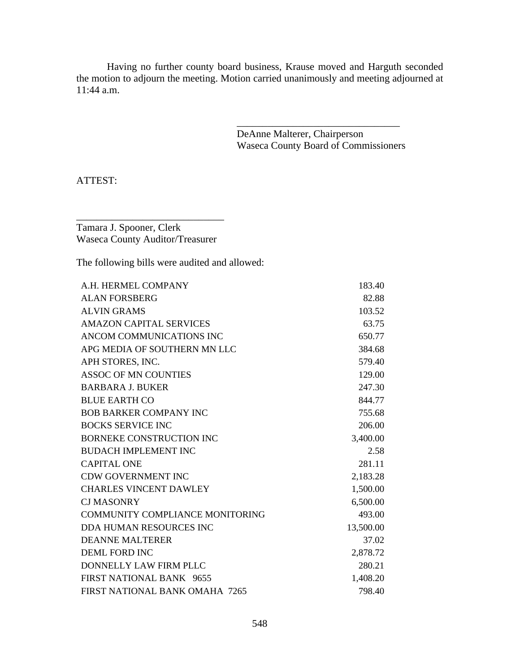Having no further county board business, Krause moved and Harguth seconded the motion to adjourn the meeting. Motion carried unanimously and meeting adjourned at 11:44 a.m.

> DeAnne Malterer, Chairperson Waseca County Board of Commissioners

\_\_\_\_\_\_\_\_\_\_\_\_\_\_\_\_\_\_\_\_\_\_\_\_\_\_\_\_\_\_\_\_

ATTEST:

Tamara J. Spooner, Clerk Waseca County Auditor/Treasurer

\_\_\_\_\_\_\_\_\_\_\_\_\_\_\_\_\_\_\_\_\_\_\_\_\_\_\_\_\_

The following bills were audited and allowed:

| A.H. HERMEL COMPANY                    | 183.40    |
|----------------------------------------|-----------|
| <b>ALAN FORSBERG</b>                   | 82.88     |
| <b>ALVIN GRAMS</b>                     | 103.52    |
| <b>AMAZON CAPITAL SERVICES</b>         | 63.75     |
| ANCOM COMMUNICATIONS INC               | 650.77    |
| APG MEDIA OF SOUTHERN MN LLC           | 384.68    |
| APH STORES, INC.                       | 579.40    |
| <b>ASSOC OF MN COUNTIES</b>            | 129.00    |
| <b>BARBARA J. BUKER</b>                | 247.30    |
| <b>BLUE EARTH CO</b>                   | 844.77    |
| <b>BOB BARKER COMPANY INC</b>          | 755.68    |
| <b>BOCKS SERVICE INC</b>               | 206.00    |
| <b>BORNEKE CONSTRUCTION INC</b>        | 3,400.00  |
| <b>BUDACH IMPLEMENT INC</b>            | 2.58      |
| <b>CAPITAL ONE</b>                     | 281.11    |
| <b>CDW GOVERNMENT INC</b>              | 2,183.28  |
| <b>CHARLES VINCENT DAWLEY</b>          | 1,500.00  |
| <b>CJ MASONRY</b>                      | 6,500.00  |
| <b>COMMUNITY COMPLIANCE MONITORING</b> | 493.00    |
| DDA HUMAN RESOURCES INC                | 13,500.00 |
| <b>DEANNE MALTERER</b>                 | 37.02     |
| <b>DEML FORD INC</b>                   | 2,878.72  |
| DONNELLY LAW FIRM PLLC                 | 280.21    |
| FIRST NATIONAL BANK 9655               | 1,408.20  |
| FIRST NATIONAL BANK OMAHA 7265         | 798.40    |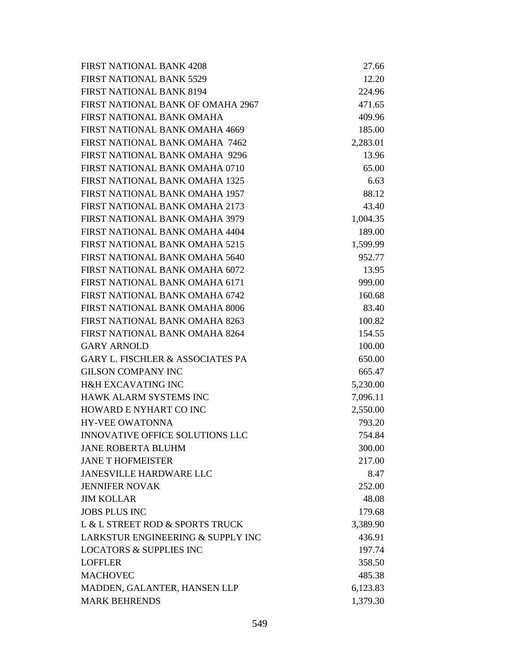| <b>FIRST NATIONAL BANK 4208</b>             | 27.66    |
|---------------------------------------------|----------|
| <b>FIRST NATIONAL BANK 5529</b>             | 12.20    |
| <b>FIRST NATIONAL BANK 8194</b>             | 224.96   |
| FIRST NATIONAL BANK OF OMAHA 2967           | 471.65   |
| FIRST NATIONAL BANK OMAHA                   | 409.96   |
| FIRST NATIONAL BANK OMAHA 4669              | 185.00   |
| FIRST NATIONAL BANK OMAHA 7462              | 2,283.01 |
| <b>FIRST NATIONAL BANK OMAHA 9296</b>       | 13.96    |
| FIRST NATIONAL BANK OMAHA 0710              | 65.00    |
| <b>FIRST NATIONAL BANK OMAHA 1325</b>       | 6.63     |
| <b>FIRST NATIONAL BANK OMAHA 1957</b>       | 88.12    |
| <b>FIRST NATIONAL BANK OMAHA 2173</b>       | 43.40    |
| FIRST NATIONAL BANK OMAHA 3979              | 1,004.35 |
| FIRST NATIONAL BANK OMAHA 4404              | 189.00   |
| <b>FIRST NATIONAL BANK OMAHA 5215</b>       | 1,599.99 |
| <b>FIRST NATIONAL BANK OMAHA 5640</b>       | 952.77   |
| FIRST NATIONAL BANK OMAHA 6072              | 13.95    |
| FIRST NATIONAL BANK OMAHA 6171              | 999.00   |
| FIRST NATIONAL BANK OMAHA 6742              | 160.68   |
| <b>FIRST NATIONAL BANK OMAHA 8006</b>       | 83.40    |
| <b>FIRST NATIONAL BANK OMAHA 8263</b>       | 100.82   |
| FIRST NATIONAL BANK OMAHA 8264              | 154.55   |
| <b>GARY ARNOLD</b>                          | 100.00   |
| <b>GARY L. FISCHLER &amp; ASSOCIATES PA</b> | 650.00   |
| <b>GILSON COMPANY INC</b>                   | 665.47   |
| <b>H&amp;H EXCAVATING INC</b>               | 5,230.00 |
| HAWK ALARM SYSTEMS INC                      | 7,096.11 |
| <b>HOWARD E NYHART CO INC</b>               | 2,550.00 |
| <b>HY-VEE OWATONNA</b>                      | 793.20   |
| INNOVATIVE OFFICE SOLUTIONS LLC             | 754.84   |
| <b>JANE ROBERTA BLUHM</b>                   | 300.00   |
| <b>JANE T HOFMEISTER</b>                    | 217.00   |
| <b>JANESVILLE HARDWARE LLC</b>              | 8.47     |
| <b>JENNIFER NOVAK</b>                       | 252.00   |
| <b>JIM KOLLAR</b>                           | 48.08    |
| <b>JOBS PLUS INC</b>                        | 179.68   |
| L & L STREET ROD & SPORTS TRUCK             | 3,389.90 |
| LARKSTUR ENGINEERING & SUPPLY INC           | 436.91   |
| <b>LOCATORS &amp; SUPPLIES INC</b>          | 197.74   |
| <b>LOFFLER</b>                              | 358.50   |
| <b>MACHOVEC</b>                             | 485.38   |
| MADDEN, GALANTER, HANSEN LLP                | 6,123.83 |
| <b>MARK BEHRENDS</b>                        | 1,379.30 |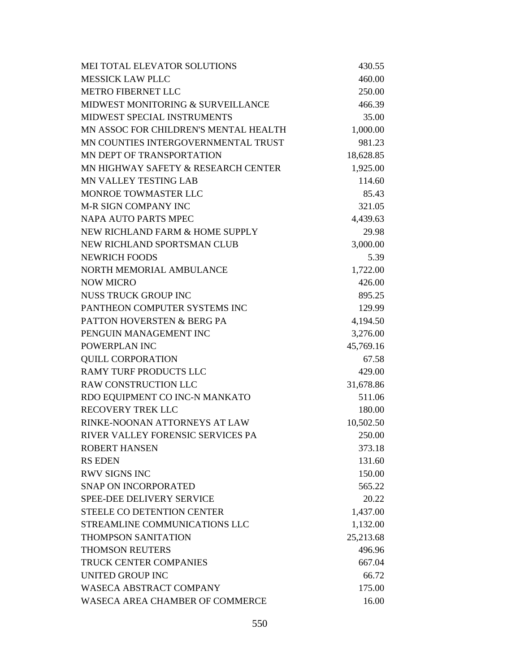| MEI TOTAL ELEVATOR SOLUTIONS           | 430.55    |
|----------------------------------------|-----------|
| <b>MESSICK LAW PLLC</b>                | 460.00    |
| <b>METRO FIBERNET LLC</b>              | 250.00    |
| MIDWEST MONITORING & SURVEILLANCE      | 466.39    |
| <b>MIDWEST SPECIAL INSTRUMENTS</b>     | 35.00     |
| MN ASSOC FOR CHILDREN'S MENTAL HEALTH  | 1,000.00  |
| MN COUNTIES INTERGOVERNMENTAL TRUST    | 981.23    |
| MN DEPT OF TRANSPORTATION              | 18,628.85 |
| MN HIGHWAY SAFETY & RESEARCH CENTER    | 1,925.00  |
| <b>MN VALLEY TESTING LAB</b>           | 114.60    |
| MONROE TOWMASTER LLC                   | 85.43     |
| M-R SIGN COMPANY INC                   | 321.05    |
| NAPA AUTO PARTS MPEC                   | 4,439.63  |
| NEW RICHLAND FARM & HOME SUPPLY        | 29.98     |
| NEW RICHLAND SPORTSMAN CLUB            | 3,000.00  |
| <b>NEWRICH FOODS</b>                   | 5.39      |
| NORTH MEMORIAL AMBULANCE               | 1,722.00  |
| <b>NOW MICRO</b>                       | 426.00    |
| NUSS TRUCK GROUP INC                   | 895.25    |
| PANTHEON COMPUTER SYSTEMS INC          | 129.99    |
| <b>PATTON HOVERSTEN &amp; BERG PA</b>  | 4,194.50  |
| PENGUIN MANAGEMENT INC                 | 3,276.00  |
| POWERPLAN INC                          | 45,769.16 |
| <b>QUILL CORPORATION</b>               | 67.58     |
| <b>RAMY TURF PRODUCTS LLC</b>          | 429.00    |
| RAW CONSTRUCTION LLC                   | 31,678.86 |
| RDO EQUIPMENT CO INC-N MANKATO         | 511.06    |
| <b>RECOVERY TREK LLC</b>               | 180.00    |
| RINKE-NOONAN ATTORNEYS AT LAW          | 10,502.50 |
| RIVER VALLEY FORENSIC SERVICES PA      | 250.00    |
| <b>ROBERT HANSEN</b>                   | 373.18    |
| <b>RS EDEN</b>                         | 131.60    |
| <b>RWV SIGNS INC</b>                   | 150.00    |
| <b>SNAP ON INCORPORATED</b>            | 565.22    |
| <b>SPEE-DEE DELIVERY SERVICE</b>       | 20.22     |
| STEELE CO DETENTION CENTER             | 1,437.00  |
| STREAMLINE COMMUNICATIONS LLC          | 1,132.00  |
| <b>THOMPSON SANITATION</b>             | 25,213.68 |
| <b>THOMSON REUTERS</b>                 | 496.96    |
| <b>TRUCK CENTER COMPANIES</b>          | 667.04    |
| <b>UNITED GROUP INC</b>                | 66.72     |
| <b>WASECA ABSTRACT COMPANY</b>         | 175.00    |
| <b>WASECA AREA CHAMBER OF COMMERCE</b> | 16.00     |